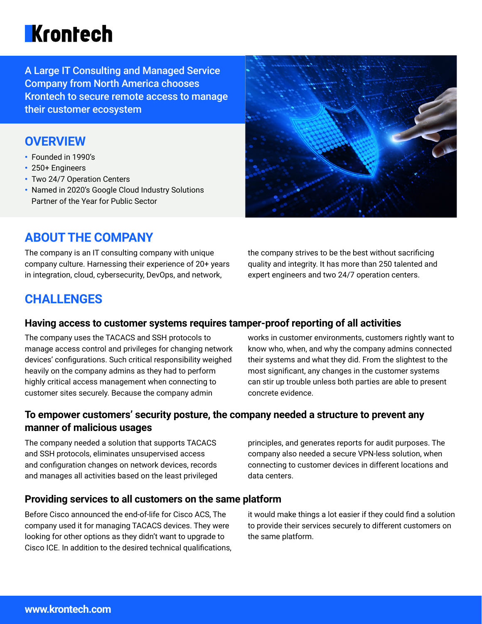# **Krontech**

A Large IT Consulting and Managed Service Company from North America chooses Krontech to secure remote access to manage their customer ecosystem

## **OVERVIEW**

- Founded in 1990's
- 250+ Engineers
- Two 24/7 Operation Centers
- Named in 2020's Google Cloud Industry Solutions Partner of the Year for Public Sector



## **ABOUT THE COMPANY**

The company is an IT consulting company with unique company culture. Harnessing their experience of 20+ years in integration, cloud, cybersecurity, DevOps, and network,

the company strives to be the best without sacrificing quality and integrity. It has more than 250 talented and expert engineers and two 24/7 operation centers.

## **CHALLENGES**

#### **Having access to customer systems requires tamper-proof reporting of all activities**

The company uses the TACACS and SSH protocols to manage access control and privileges for changing network devices' configurations. Such critical responsibility weighed heavily on the company admins as they had to perform highly critical access management when connecting to customer sites securely. Because the company admin

works in customer environments, customers rightly want to know who, when, and why the company admins connected their systems and what they did. From the slightest to the most significant, any changes in the customer systems can stir up trouble unless both parties are able to present concrete evidence.

### **To empower customers' security posture, the company needed a structure to prevent any manner of malicious usages**

The company needed a solution that supports TACACS and SSH protocols, eliminates unsupervised access and configuration changes on network devices, records and manages all activities based on the least privileged principles, and generates reports for audit purposes. The company also needed a secure VPN-less solution, when connecting to customer devices in different locations and data centers.

#### **Providing services to all customers on the same platform**

Before Cisco announced the end-of-life for Cisco ACS, The company used it for managing TACACS devices. They were looking for other options as they didn't want to upgrade to Cisco ICE. In addition to the desired technical qualifications, it would make things a lot easier if they could find a solution to provide their services securely to different customers on the same platform.